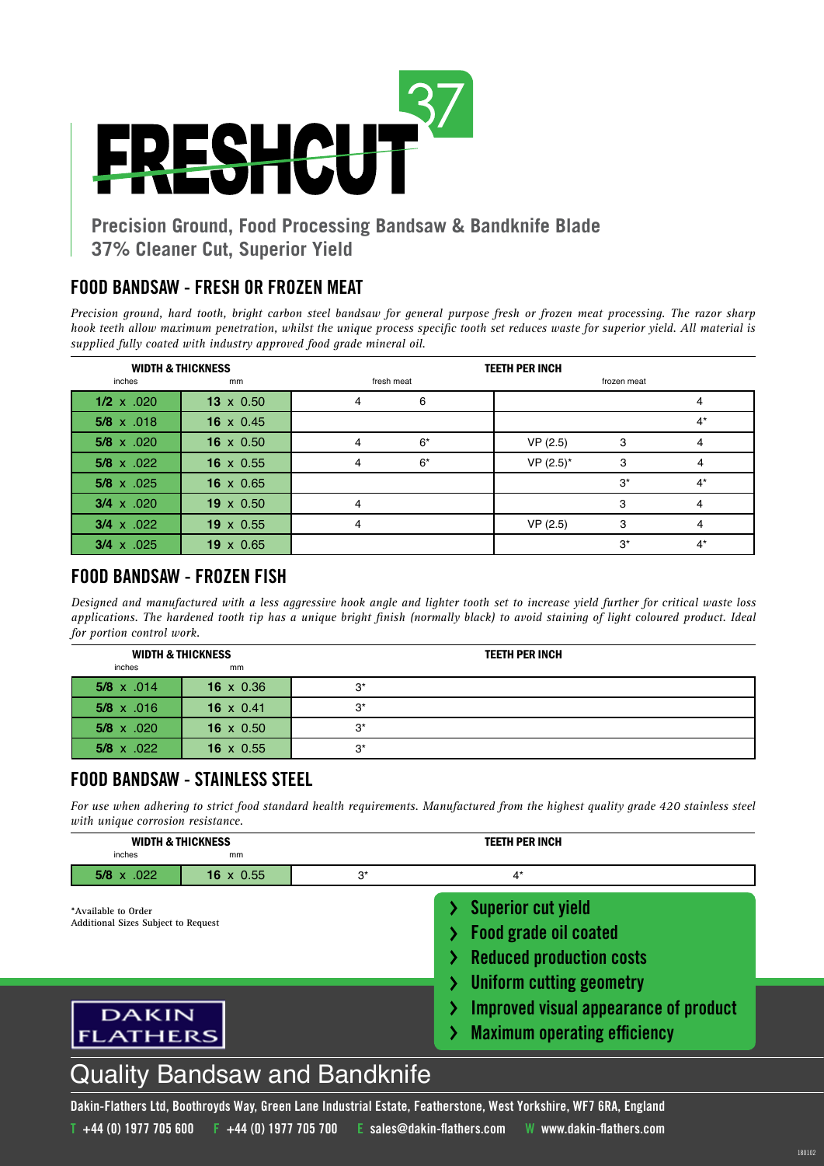

## **Precision Ground, Food Processing Bandsaw & Bandknife Blade 37% Cleaner Cut, Superior Yield**

## **FOOD BANDSAW - FRESH OR FROZEN MEAT**

*Precision ground, hard tooth, bright carbon steel bandsaw for general purpose fresh or frozen meat processing. The razor sharp hook teeth allow maximum penetration, whilst the unique process specific tooth set reduces waste for superior yield. All material is supplied fully coated with industry approved food grade mineral oil.*

| <b>WIDTH &amp; THICKNESS</b> |                  | <b>TEETH PER INCH</b> |            |             |             |       |
|------------------------------|------------------|-----------------------|------------|-------------|-------------|-------|
| inches                       | mm               |                       | fresh meat |             | frozen meat |       |
| $1/2 \times .020$            | $13 \times 0.50$ | 4                     | 6          |             |             |       |
| $5/8 \times .018$            | 16 $\times$ 0.45 |                       |            |             |             | $4^*$ |
| $5/8 \times .020$            | 16 $\times$ 0.50 | 4                     | $6*$       | VP(2.5)     | 3           | 4     |
| $5/8 \times .022$            | 16 $\times$ 0.55 | 4                     | $6*$       | $VP(2.5)^*$ | 3           | 4     |
| $5/8 \times .025$            | 16 $\times$ 0.65 |                       |            |             | $3^*$       | $4^*$ |
| $3/4 \times .020$            | $19 \times 0.50$ | 4                     |            |             | 3           |       |
| $3/4 \times .022$            | $19 \times 0.55$ | 4                     |            | VP(2.5)     | 3           | 4     |
| $3/4 \times 0.025$           | $19 \times 0.65$ |                       |            |             | $3^*$       | $4^*$ |

### **FOOD BANDSAW - FROZEN FISH**

*Designed and manufactured with a less aggressive hook angle and lighter tooth set to increase yield further for critical waste loss applications. The hardened tooth tip has a unique bright finish (normally black) to avoid staining of light coloured product. Ideal for portion control work.*

| <b>WIDTH &amp; THICKNESS</b> |                  | <b>TEETH PER INCH</b> |  |  |
|------------------------------|------------------|-----------------------|--|--|
| inches                       | mm               |                       |  |  |
| $5/8 \times .014$            | 16 $\times$ 0.36 | $3^*$                 |  |  |
| $5/8 \times .016$            | 16 $\times$ 0.41 | $3^*$                 |  |  |
| $5/8 \times .020$            | 16 $\times$ 0.50 | $3^*$                 |  |  |
| $5/8 \times .022$            | 16 $\times$ 0.55 | $3^*$                 |  |  |

## **FOOD BANDSAW - STAINLESS STEEL**

*For use when adhering to strict food standard health requirements. Manufactured from the highest quality grade 420 stainless steel with unique corrosion resistance.* 

| <b>WIDTH &amp; THICKNESS</b><br>inches<br>mm                      |                  | <b>TEETH PER INCH</b>                |                                                                                                                                 |  |  |
|-------------------------------------------------------------------|------------------|--------------------------------------|---------------------------------------------------------------------------------------------------------------------------------|--|--|
| $5/8 \times .022$                                                 | $16 \times 0.55$ | $3^*$                                | $4^*$                                                                                                                           |  |  |
| *Available to Order<br><b>Additional Sizes Subject to Request</b> |                  |                                      | <b>Superior cut yield</b><br><b>Food grade oil coated</b><br><b>Reduced production costs</b><br><b>Uniform cutting geometry</b> |  |  |
| <b>DAKIN</b><br><b>FLATHERS</b>                                   |                  |                                      | Improved visual appearance of product<br><b>Maximum operating efficiency</b>                                                    |  |  |
|                                                                   |                  | <b>Quality Bandsaw and Bandknife</b> |                                                                                                                                 |  |  |

180102

# **Dakin-Flathers Ltd, Boothroyds Way, Green Lane Industrial Estate, Featherstone, West Yorkshire, WF7 6RA, England**

**T +44 (0) 1977 705 600 F +44 (0) 1977 705 700 E sales@dakin-flathers.com W www.dakin-flathers.com**